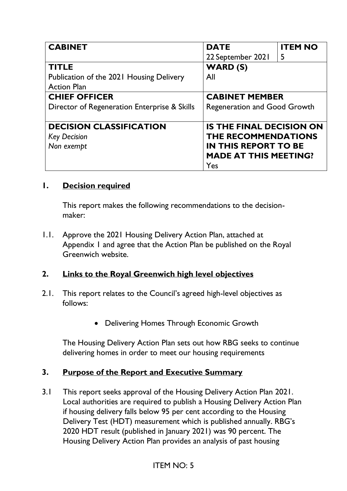| <b>CABINET</b>                               | <b>DATE</b>                         | <b>ITEM NO</b> |
|----------------------------------------------|-------------------------------------|----------------|
|                                              | 22 September 2021                   | 5              |
| <b>TITLE</b>                                 | <b>WARD (S)</b>                     |                |
| Publication of the 2021 Housing Delivery     | All                                 |                |
| <b>Action Plan</b>                           |                                     |                |
| <b>CHIEF OFFICER</b>                         | <b>CABINET MEMBER</b>               |                |
| Director of Regeneration Enterprise & Skills | <b>Regeneration and Good Growth</b> |                |
|                                              |                                     |                |
| <b>DECISION CLASSIFICATION</b>               | <b>IS THE FINAL DECISION ON</b>     |                |
| <b>Key Decision</b>                          | THE RECOMMENDATIONS                 |                |
| Non exempt                                   | <b>IN THIS REPORT TO BE</b>         |                |
|                                              | <b>MADE AT THIS MEETING?</b>        |                |
|                                              | Yes                                 |                |

### **1. Decision required**

This report makes the following recommendations to the decisionmaker:

1.1. Approve the 2021 Housing Delivery Action Plan, attached at Appendix 1 and agree that the Action Plan be published on the Royal Greenwich website.

## **2. Links to the Royal Greenwich high level objectives**

- 2.1. This report relates to the Council's agreed high-level objectives as follows:
	- Delivering Homes Through Economic Growth

The Housing Delivery Action Plan sets out how RBG seeks to continue delivering homes in order to meet our housing requirements

### **3. Purpose of the Report and Executive Summary**

3.1 This report seeks approval of the Housing Delivery Action Plan 2021. Local authorities are required to publish a Housing Delivery Action Plan if housing delivery falls below 95 per cent according to the Housing Delivery Test (HDT) measurement which is published annually. RBG's 2020 HDT result (published in January 2021) was 90 percent. The Housing Delivery Action Plan provides an analysis of past housing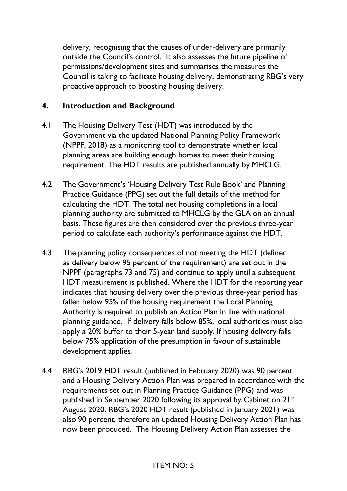delivery, recognising that the causes of under-delivery are primarily outside the Council's control. It also assesses the future pipeline of permissions/development sites and summarises the measures the Council is taking to facilitate housing delivery, demonstrating RBG's very proactive approach to boosting housing delivery.

### **4. Introduction and Background**

- 4.1 The Housing Delivery Test (HDT) was introduced by the Government via the updated National Planning Policy Framework (NPPF, 2018) as a monitoring tool to demonstrate whether local planning areas are building enough homes to meet their housing requirement. The HDT results are published annually by MHCLG.
- 4.2 The Government's 'Housing Delivery Test Rule Book' and Planning Practice Guidance (PPG) set out the full details of the method for calculating the HDT. The total net housing completions in a local planning authority are submitted to MHCLG by the GLA on an annual basis. These figures are then considered over the previous three-year period to calculate each authority's performance against the HDT.
- 4.3 The planning policy consequences of not meeting the HDT (defined as delivery below 95 percent of the requirement) are set out in the NPPF (paragraphs 73 and 75) and continue to apply until a subsequent HDT measurement is published. Where the HDT for the reporting year indicates that housing delivery over the previous three-year period has fallen below 95% of the housing requirement the Local Planning Authority is required to publish an Action Plan in line with national planning guidance. If delivery falls below 85%, local authorities must also apply a 20% buffer to their 5-year land supply. If housing delivery falls below 75% application of the presumption in favour of sustainable development applies.
- 4.4 RBG's 2019 HDT result (published in February 2020) was 90 percent and a Housing Delivery Action Plan was prepared in accordance with the requirements set out in Planning Practice Guidance (PPG) and was published in September 2020 following its approval by Cabinet on 21st August 2020. RBG's 2020 HDT result (published in January 2021) was also 90 percent, therefore an updated Housing Delivery Action Plan has now been produced. The Housing Delivery Action Plan assesses the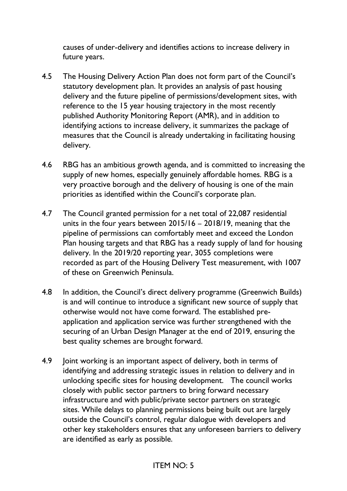causes of under-delivery and identifies actions to increase delivery in future years.

- 4.5 The Housing Delivery Action Plan does not form part of the Council's statutory development plan. It provides an analysis of past housing delivery and the future pipeline of permissions/development sites, with reference to the 15 year housing trajectory in the most recently published Authority Monitoring Report (AMR), and in addition to identifying actions to increase delivery, it summarizes the package of measures that the Council is already undertaking in facilitating housing delivery.
- 4.6 RBG has an ambitious growth agenda, and is committed to increasing the supply of new homes, especially genuinely affordable homes. RBG is a very proactive borough and the delivery of housing is one of the main priorities as identified within the Council's corporate plan.
- 4.7 The Council granted permission for a net total of 22,087 residential units in the four years between 2015/16 – 2018/19, meaning that the pipeline of permissions can comfortably meet and exceed the London Plan housing targets and that RBG has a ready supply of land for housing delivery. In the 2019/20 reporting year, 3055 completions were recorded as part of the Housing Delivery Test measurement, with 1007 of these on Greenwich Peninsula.
- 4.8 In addition, the Council's direct delivery programme (Greenwich Builds) is and will continue to introduce a significant new source of supply that otherwise would not have come forward. The established preapplication and application service was further strengthened with the securing of an Urban Design Manager at the end of 2019, ensuring the best quality schemes are brought forward.
- 4.9 Joint working is an important aspect of delivery, both in terms of identifying and addressing strategic issues in relation to delivery and in unlocking specific sites for housing development. The council works closely with public sector partners to bring forward necessary infrastructure and with public/private sector partners on strategic sites. While delays to planning permissions being built out are largely outside the Council's control, regular dialogue with developers and other key stakeholders ensures that any unforeseen barriers to delivery are identified as early as possible.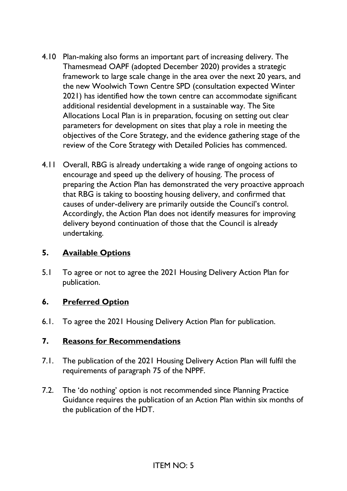- 4.10 Plan-making also forms an important part of increasing delivery. The Thamesmead OAPF (adopted December 2020) provides a strategic framework to large scale change in the area over the next 20 years, and the new Woolwich Town Centre SPD (consultation expected Winter 2021) has identified how the town centre can accommodate significant additional residential development in a sustainable way. The Site Allocations Local Plan is in preparation, focusing on setting out clear parameters for development on sites that play a role in meeting the objectives of the Core Strategy, and the evidence gathering stage of the review of the Core Strategy with Detailed Policies has commenced.
- 4.11 Overall, RBG is already undertaking a wide range of ongoing actions to encourage and speed up the delivery of housing. The process of preparing the Action Plan has demonstrated the very proactive approach that RBG is taking to boosting housing delivery, and confirmed that causes of under-delivery are primarily outside the Council's control. Accordingly, the Action Plan does not identify measures for improving delivery beyond continuation of those that the Council is already undertaking.

### **5. Available Options**

5.1 To agree or not to agree the 2021 Housing Delivery Action Plan for publication.

### **6. Preferred Option**

6.1. To agree the 2021 Housing Delivery Action Plan for publication.

#### **7. Reasons for Recommendations**

- 7.1. The publication of the 2021 Housing Delivery Action Plan will fulfil the requirements of paragraph 75 of the NPPF.
- 7.2. The 'do nothing' option is not recommended since Planning Practice Guidance requires the publication of an Action Plan within six months of the publication of the HDT.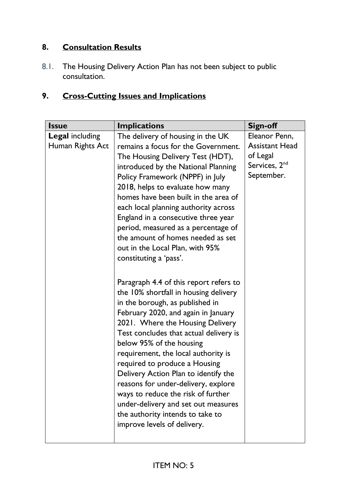## **8. Consultation Results**

8.1. The Housing Delivery Action Plan has not been subject to public consultation.

# **9. Cross-Cutting Issues and Implications**

| <b>Issue</b>                               | <b>Implications</b>                                                                                                                                                                                                                                                                                                                                                                                                                                                                                                                                                                                                                                                                                                                                                                                                                                                                                                                                                                                                                                                      | <b>Sign-off</b>                                                                               |
|--------------------------------------------|--------------------------------------------------------------------------------------------------------------------------------------------------------------------------------------------------------------------------------------------------------------------------------------------------------------------------------------------------------------------------------------------------------------------------------------------------------------------------------------------------------------------------------------------------------------------------------------------------------------------------------------------------------------------------------------------------------------------------------------------------------------------------------------------------------------------------------------------------------------------------------------------------------------------------------------------------------------------------------------------------------------------------------------------------------------------------|-----------------------------------------------------------------------------------------------|
| <b>Legal</b> including<br>Human Rights Act | The delivery of housing in the UK<br>remains a focus for the Government.<br>The Housing Delivery Test (HDT),<br>introduced by the National Planning<br>Policy Framework (NPPF) in July<br>2018, helps to evaluate how many<br>homes have been built in the area of<br>each local planning authority across<br>England in a consecutive three year<br>period, measured as a percentage of<br>the amount of homes needed as set<br>out in the Local Plan, with 95%<br>constituting a 'pass'.<br>Paragraph 4.4 of this report refers to<br>the 10% shortfall in housing delivery<br>in the borough, as published in<br>February 2020, and again in January<br>2021. Where the Housing Delivery<br>Test concludes that actual delivery is<br>below 95% of the housing<br>requirement, the local authority is<br>required to produce a Housing<br>Delivery Action Plan to identify the<br>reasons for under-delivery, explore<br>ways to reduce the risk of further<br>under-delivery and set out measures<br>the authority intends to take to<br>improve levels of delivery. | Eleanor Penn,<br><b>Assistant Head</b><br>of Legal<br>Services, 2 <sup>nd</sup><br>September. |
|                                            |                                                                                                                                                                                                                                                                                                                                                                                                                                                                                                                                                                                                                                                                                                                                                                                                                                                                                                                                                                                                                                                                          |                                                                                               |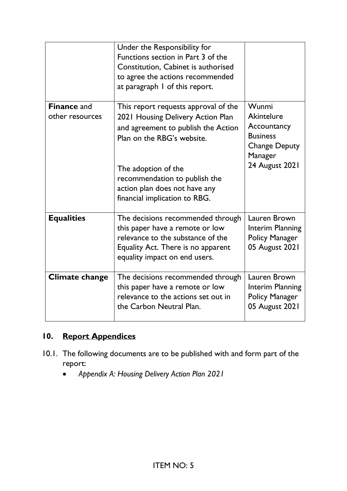|                                       | Under the Responsibility for<br>Functions section in Part 3 of the<br>Constitution, Cabinet is authorised<br>to agree the actions recommended<br>at paragraph I of this report.                                                                                          |                                                                                                                   |
|---------------------------------------|--------------------------------------------------------------------------------------------------------------------------------------------------------------------------------------------------------------------------------------------------------------------------|-------------------------------------------------------------------------------------------------------------------|
| <b>Finance and</b><br>other resources | This report requests approval of the<br>2021 Housing Delivery Action Plan<br>and agreement to publish the Action<br>Plan on the RBG's website.<br>The adoption of the<br>recommendation to publish the<br>action plan does not have any<br>financial implication to RBG. | Wunmi<br><b>Akintelure</b><br>Accountancy<br><b>Business</b><br><b>Change Deputy</b><br>Manager<br>24 August 2021 |
| <b>Equalities</b>                     | The decisions recommended through<br>this paper have a remote or low<br>relevance to the substance of the<br>Equality Act. There is no apparent<br>equality impact on end users.                                                                                         | Lauren Brown<br><b>Interim Planning</b><br><b>Policy Manager</b><br>05 August 2021                                |
| <b>Climate change</b>                 | The decisions recommended through<br>this paper have a remote or low<br>relevance to the actions set out in<br>the Carbon Neutral Plan.                                                                                                                                  | Lauren Brown<br>Interim Planning<br><b>Policy Manager</b><br>05 August 2021                                       |

## **10. Report Appendices**

- 10.1. The following documents are to be published with and form part of the report:
	- *Appendix A: Housing Delivery Action Plan 2021*